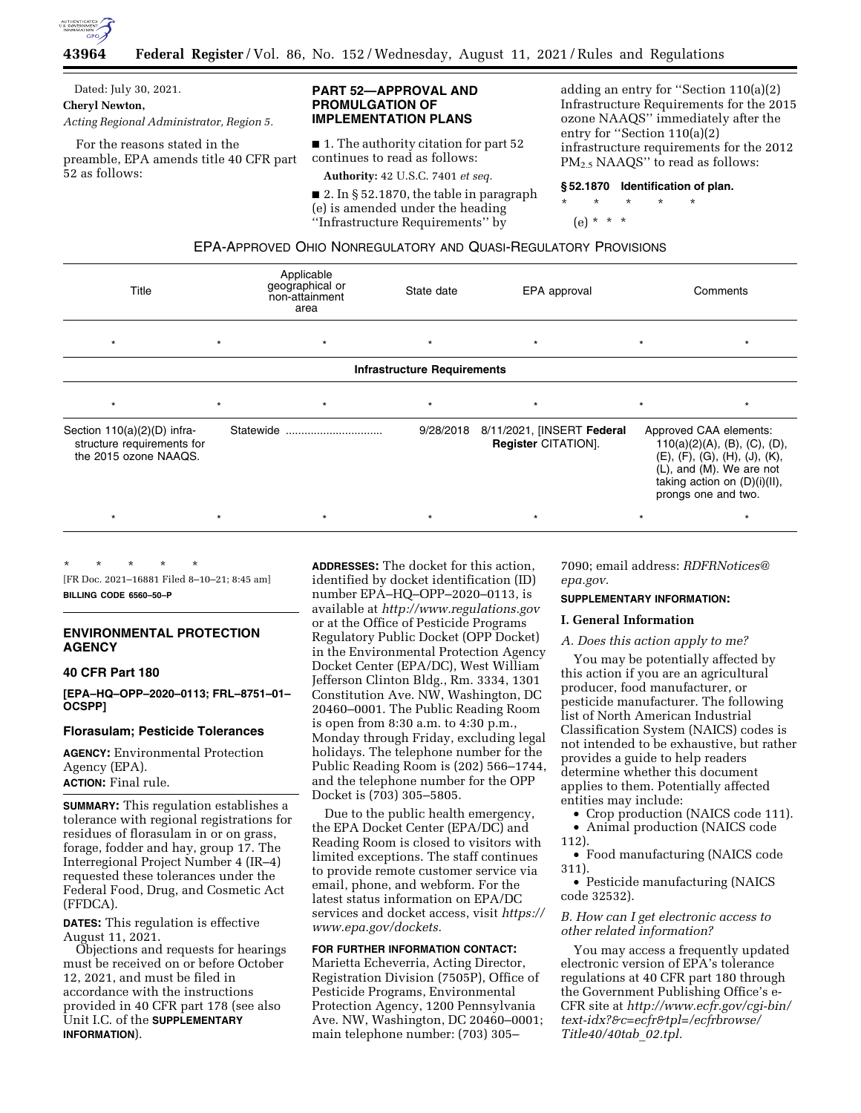

Dated: July 30, 2021. **Cheryl Newton,** 

*Acting Regional Administrator, Region 5.* 

For the reasons stated in the preamble, EPA amends title 40 CFR part 52 as follows:

# **PART 52—APPROVAL AND PROMULGATION OF IMPLEMENTATION PLANS**

■ 1. The authority citation for part 52 continues to read as follows:

**Authority:** 42 U.S.C. 7401 *et seq.* 

■ 2. In § 52.1870, the table in paragraph (e) is amended under the heading ''Infrastructure Requirements'' by

adding an entry for ''Section 110(a)(2) Infrastructure Requirements for the 2015 ozone NAAQS'' immediately after the entry for ''Section 110(a)(2) infrastructure requirements for the 2012 PM2.5 NAAQS'' to read as follows:

## **§ 52.1870 Identification of plan.**

\* \* \* \* \*

# (e) \* \* \*

| EPA-APPROVED OHIO NONREGULATORY AND QUASI-REGULATORY PROVISIONS |  |
|-----------------------------------------------------------------|--|
|-----------------------------------------------------------------|--|

| Title                                                                                |         | Applicable<br>geographical or<br>non-attainment<br>area | State date | EPA approval                                             |                                                                                                                                                                                                       | Comments |  |
|--------------------------------------------------------------------------------------|---------|---------------------------------------------------------|------------|----------------------------------------------------------|-------------------------------------------------------------------------------------------------------------------------------------------------------------------------------------------------------|----------|--|
| $\star$                                                                              | $\star$ | $\star$                                                 | $\star$    | $\star$                                                  | $\star$                                                                                                                                                                                               |          |  |
| <b>Infrastructure Requirements</b>                                                   |         |                                                         |            |                                                          |                                                                                                                                                                                                       |          |  |
| $\star$                                                                              | $\star$ | $\star$                                                 | $\star$    | $\star$                                                  | $\star$                                                                                                                                                                                               |          |  |
| Section $110(a)(2)(D)$ infra-<br>structure requirements for<br>the 2015 ozone NAAQS. |         | Statewide                                               | 9/28/2018  | 8/11/2021, [INSERT Federal<br><b>Register CITATION].</b> | Approved CAA elements:<br>110(a)(2)(A), (B), (C), (D),<br>$(E)$ , $(F)$ , $(G)$ , $(H)$ , $(J)$ , $(K)$ ,<br>$(L)$ , and $(M)$ . We are not<br>taking action on $(D)(i)(II)$ ,<br>prongs one and two. |          |  |
| $\star$                                                                              |         | $\star$                                                 | $^\star$   |                                                          |                                                                                                                                                                                                       |          |  |

\* \* \* \* \* [FR Doc. 2021–16881 Filed 8–10–21; 8:45 am]

**BILLING CODE 6560–50–P** 

# **ENVIRONMENTAL PROTECTION AGENCY**

# **40 CFR Part 180**

**[EPA–HQ–OPP–2020–0113; FRL–8751–01– OCSPP]** 

# **Florasulam; Pesticide Tolerances**

**AGENCY:** Environmental Protection Agency (EPA). **ACTION:** Final rule.

**SUMMARY:** This regulation establishes a tolerance with regional registrations for residues of florasulam in or on grass, forage, fodder and hay, group 17. The Interregional Project Number 4 (IR–4) requested these tolerances under the Federal Food, Drug, and Cosmetic Act (FFDCA).

**DATES:** This regulation is effective August 11, 2021.

Objections and requests for hearings must be received on or before October 12, 2021, and must be filed in accordance with the instructions provided in 40 CFR part 178 (see also Unit I.C. of the **SUPPLEMENTARY INFORMATION**).

**ADDRESSES:** The docket for this action, identified by docket identification (ID) number EPA–HQ–OPP–2020–0113, is available at *<http://www.regulations.gov>* or at the Office of Pesticide Programs Regulatory Public Docket (OPP Docket) in the Environmental Protection Agency Docket Center (EPA/DC), West William Jefferson Clinton Bldg., Rm. 3334, 1301 Constitution Ave. NW, Washington, DC 20460–0001. The Public Reading Room is open from 8:30 a.m. to 4:30 p.m., Monday through Friday, excluding legal holidays. The telephone number for the Public Reading Room is (202) 566–1744, and the telephone number for the OPP Docket is (703) 305–5805.

Due to the public health emergency, the EPA Docket Center (EPA/DC) and Reading Room is closed to visitors with limited exceptions. The staff continues to provide remote customer service via email, phone, and webform. For the latest status information on EPA/DC services and docket access, visit *[https://](https://www.epa.gov/dockets) [www.epa.gov/dockets.](https://www.epa.gov/dockets)* 

# **FOR FURTHER INFORMATION CONTACT:**  Marietta Echeverria, Acting Director, Registration Division (7505P), Office of Pesticide Programs, Environmental Protection Agency, 1200 Pennsylvania Ave. NW, Washington, DC 20460–0001; main telephone number: (703) 305–

7090; email address: *[RDFRNotices@](mailto:RDFRNotices@epa.gov) [epa.gov.](mailto:RDFRNotices@epa.gov)* 

## **SUPPLEMENTARY INFORMATION:**

# **I. General Information**

## *A. Does this action apply to me?*

You may be potentially affected by this action if you are an agricultural producer, food manufacturer, or pesticide manufacturer. The following list of North American Industrial Classification System (NAICS) codes is not intended to be exhaustive, but rather provides a guide to help readers determine whether this document applies to them. Potentially affected entities may include:

- Crop production (NAICS code 111).
- Animal production (NAICS code
- 112).

• Food manufacturing (NAICS code 311).

• Pesticide manufacturing (NAICS code 32532).

# *B. How can I get electronic access to other related information?*

You may access a frequently updated electronic version of EPA's tolerance regulations at 40 CFR part 180 through the Government Publishing Office's e-CFR site at *[http://www.ecfr.gov/cgi-bin/](http://www.ecfr.gov/cgi-bin/text-idx?&c=ecfr&tpl=/ecfrbrowse/Title40/40tab_02.tpl)  [text-idx?&c=ecfr&tpl=/ecfrbrowse/](http://www.ecfr.gov/cgi-bin/text-idx?&c=ecfr&tpl=/ecfrbrowse/Title40/40tab_02.tpl)  [Title40/40tab](http://www.ecfr.gov/cgi-bin/text-idx?&c=ecfr&tpl=/ecfrbrowse/Title40/40tab_02.tpl)*\_*02.tpl.*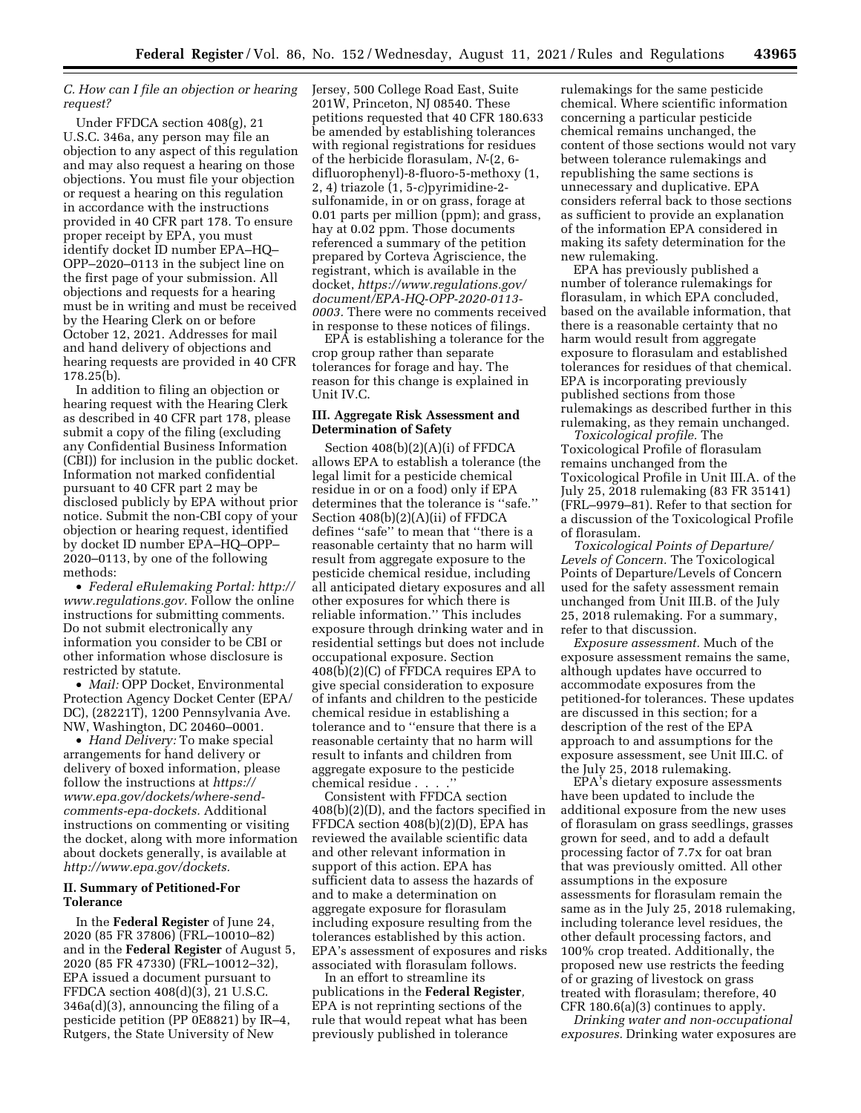# *C. How can I file an objection or hearing request?*

Under FFDCA section 408(g), 21 U.S.C. 346a, any person may file an objection to any aspect of this regulation and may also request a hearing on those objections. You must file your objection or request a hearing on this regulation in accordance with the instructions provided in 40 CFR part 178. To ensure proper receipt by EPA, you must identify docket ID number EPA–HQ– OPP–2020–0113 in the subject line on the first page of your submission. All objections and requests for a hearing must be in writing and must be received by the Hearing Clerk on or before October 12, 2021. Addresses for mail and hand delivery of objections and hearing requests are provided in 40 CFR 178.25(b).

In addition to filing an objection or hearing request with the Hearing Clerk as described in 40 CFR part 178, please submit a copy of the filing (excluding any Confidential Business Information (CBI)) for inclusion in the public docket. Information not marked confidential pursuant to 40 CFR part 2 may be disclosed publicly by EPA without prior notice. Submit the non-CBI copy of your objection or hearing request, identified by docket ID number EPA–HQ–OPP– 2020–0113, by one of the following methods:

• *Federal eRulemaking Portal: [http://](http://www.regulations.gov)  [www.regulations.gov.](http://www.regulations.gov)* Follow the online instructions for submitting comments. Do not submit electronically any information you consider to be CBI or other information whose disclosure is restricted by statute.

• *Mail:* OPP Docket, Environmental Protection Agency Docket Center (EPA/ DC), (28221T), 1200 Pennsylvania Ave. NW, Washington, DC 20460–0001.

• *Hand Delivery:* To make special arrangements for hand delivery or delivery of boxed information, please follow the instructions at *[https://](https://www.epa.gov/dockets/where-send-comments-epa-dockets) [www.epa.gov/dockets/where-send](https://www.epa.gov/dockets/where-send-comments-epa-dockets)[comments-epa-dockets.](https://www.epa.gov/dockets/where-send-comments-epa-dockets)* Additional instructions on commenting or visiting the docket, along with more information about dockets generally, is available at *<http://www.epa.gov/dockets>.* 

# **II. Summary of Petitioned-For Tolerance**

In the **Federal Register** of June 24, 2020 (85 FR 37806) (FRL–10010–82) and in the **Federal Register** of August 5, 2020 (85 FR 47330) (FRL–10012–32), EPA issued a document pursuant to FFDCA section 408(d)(3), 21 U.S.C. 346a(d)(3), announcing the filing of a pesticide petition (PP 0E8821) by IR–4, Rutgers, the State University of New

Jersey, 500 College Road East, Suite 201W, Princeton, NJ 08540. These petitions requested that 40 CFR 180.633 be amended by establishing tolerances with regional registrations for residues of the herbicide florasulam, *N*-(2, 6 difluorophenyl)-8-fluoro-5-methoxy (1, 2, 4) triazole (1, 5-*c*)pyrimidine-2 sulfonamide, in or on grass, forage at 0.01 parts per million (ppm); and grass, hay at 0.02 ppm. Those documents referenced a summary of the petition prepared by Corteva Agriscience, the registrant, which is available in the docket, *[https://www.regulations.gov/](https://www.regulations.gov/document/EPA-HQ-OPP-2020-0113-0003) [document/EPA-HQ-OPP-2020-0113-](https://www.regulations.gov/document/EPA-HQ-OPP-2020-0113-0003)  [0003.](https://www.regulations.gov/document/EPA-HQ-OPP-2020-0113-0003)* There were no comments received in response to these notices of filings.

EPA is establishing a tolerance for the crop group rather than separate tolerances for forage and hay. The reason for this change is explained in Unit IV.C.

# **III. Aggregate Risk Assessment and Determination of Safety**

Section 408(b)(2)(A)(i) of FFDCA allows EPA to establish a tolerance (the legal limit for a pesticide chemical residue in or on a food) only if EPA determines that the tolerance is ''safe.'' Section 408(b)(2)(A)(ii) of FFDCA defines ''safe'' to mean that ''there is a reasonable certainty that no harm will result from aggregate exposure to the pesticide chemical residue, including all anticipated dietary exposures and all other exposures for which there is reliable information.'' This includes exposure through drinking water and in residential settings but does not include occupational exposure. Section  $408(\overline{\text{b}})(2)(\text{C})$  of FFDCA requires EPA to give special consideration to exposure of infants and children to the pesticide chemical residue in establishing a tolerance and to ''ensure that there is a reasonable certainty that no harm will result to infants and children from aggregate exposure to the pesticide chemical residue . . . .''

Consistent with FFDCA section 408(b)(2)(D), and the factors specified in FFDCA section 408(b)(2)(D), EPA has reviewed the available scientific data and other relevant information in support of this action. EPA has sufficient data to assess the hazards of and to make a determination on aggregate exposure for florasulam including exposure resulting from the tolerances established by this action. EPA's assessment of exposures and risks associated with florasulam follows.

In an effort to streamline its publications in the **Federal Register***,*  EPA is not reprinting sections of the rule that would repeat what has been previously published in tolerance

rulemakings for the same pesticide chemical. Where scientific information concerning a particular pesticide chemical remains unchanged, the content of those sections would not vary between tolerance rulemakings and republishing the same sections is unnecessary and duplicative. EPA considers referral back to those sections as sufficient to provide an explanation of the information EPA considered in making its safety determination for the new rulemaking.

EPA has previously published a number of tolerance rulemakings for florasulam, in which EPA concluded, based on the available information, that there is a reasonable certainty that no harm would result from aggregate exposure to florasulam and established tolerances for residues of that chemical. EPA is incorporating previously published sections from those rulemakings as described further in this rulemaking, as they remain unchanged.

*Toxicological profile.* The Toxicological Profile of florasulam remains unchanged from the Toxicological Profile in Unit III.A. of the July 25, 2018 rulemaking (83 FR 35141) (FRL–9979–81). Refer to that section for a discussion of the Toxicological Profile of florasulam.

*Toxicological Points of Departure/ Levels of Concern.* The Toxicological Points of Departure/Levels of Concern used for the safety assessment remain unchanged from Unit III.B. of the July 25, 2018 rulemaking. For a summary, refer to that discussion.

*Exposure assessment.* Much of the exposure assessment remains the same, although updates have occurred to accommodate exposures from the petitioned-for tolerances. These updates are discussed in this section; for a description of the rest of the EPA approach to and assumptions for the exposure assessment, see Unit III.C. of the July 25, 2018 rulemaking.

EPA's dietary exposure assessments have been updated to include the additional exposure from the new uses of florasulam on grass seedlings, grasses grown for seed, and to add a default processing factor of 7.7x for oat bran that was previously omitted. All other assumptions in the exposure assessments for florasulam remain the same as in the July 25, 2018 rulemaking, including tolerance level residues, the other default processing factors, and 100% crop treated. Additionally, the proposed new use restricts the feeding of or grazing of livestock on grass treated with florasulam; therefore, 40 CFR 180.6(a)(3) continues to apply.

*Drinking water and non-occupational exposures.* Drinking water exposures are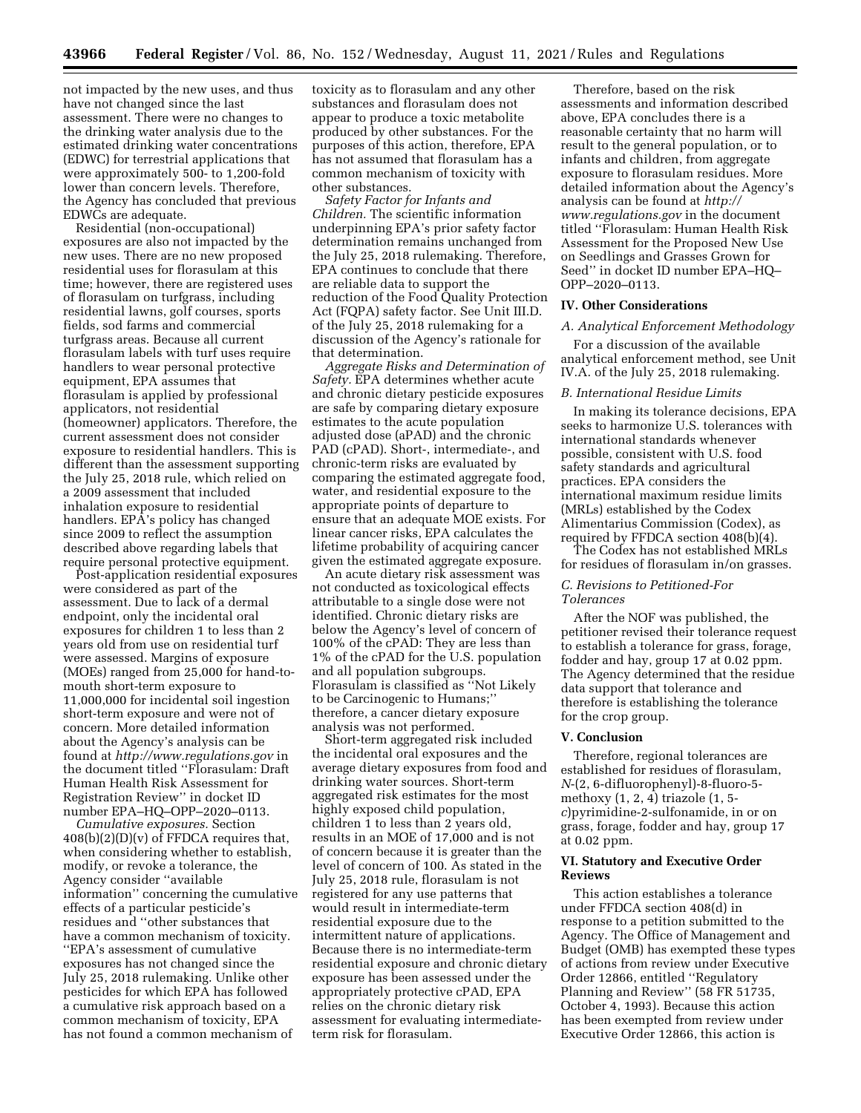not impacted by the new uses, and thus have not changed since the last assessment. There were no changes to the drinking water analysis due to the estimated drinking water concentrations (EDWC) for terrestrial applications that were approximately 500- to 1,200-fold lower than concern levels. Therefore, the Agency has concluded that previous EDWCs are adequate.

Residential (non-occupational) exposures are also not impacted by the new uses. There are no new proposed residential uses for florasulam at this time; however, there are registered uses of florasulam on turfgrass, including residential lawns, golf courses, sports fields, sod farms and commercial turfgrass areas. Because all current florasulam labels with turf uses require handlers to wear personal protective equipment, EPA assumes that florasulam is applied by professional applicators, not residential (homeowner) applicators. Therefore, the current assessment does not consider exposure to residential handlers. This is different than the assessment supporting the July 25, 2018 rule, which relied on a 2009 assessment that included inhalation exposure to residential handlers. EPA's policy has changed since 2009 to reflect the assumption described above regarding labels that require personal protective equipment.

Post-application residential exposures were considered as part of the assessment. Due to lack of a dermal endpoint, only the incidental oral exposures for children 1 to less than 2 years old from use on residential turf were assessed. Margins of exposure (MOEs) ranged from 25,000 for hand-tomouth short-term exposure to 11,000,000 for incidental soil ingestion short-term exposure and were not of concern. More detailed information about the Agency's analysis can be found at *<http://www.regulations.gov>* in the document titled ''Florasulam: Draft Human Health Risk Assessment for Registration Review'' in docket ID number EPA–HQ–OPP–2020–0113.

*Cumulative exposures.* Section  $408(b)(2)(D)(v)$  of FFDCA requires that, when considering whether to establish, modify, or revoke a tolerance, the Agency consider ''available information'' concerning the cumulative effects of a particular pesticide's residues and ''other substances that have a common mechanism of toxicity. ''EPA's assessment of cumulative exposures has not changed since the July 25, 2018 rulemaking. Unlike other pesticides for which EPA has followed a cumulative risk approach based on a common mechanism of toxicity, EPA has not found a common mechanism of

toxicity as to florasulam and any other substances and florasulam does not appear to produce a toxic metabolite produced by other substances. For the purposes of this action, therefore, EPA has not assumed that florasulam has a common mechanism of toxicity with other substances.

*Safety Factor for Infants and Children.* The scientific information underpinning EPA's prior safety factor determination remains unchanged from the July 25, 2018 rulemaking. Therefore, EPA continues to conclude that there are reliable data to support the reduction of the Food Quality Protection Act (FQPA) safety factor. See Unit III.D. of the July 25, 2018 rulemaking for a discussion of the Agency's rationale for that determination.

*Aggregate Risks and Determination of Safety.* EPA determines whether acute and chronic dietary pesticide exposures are safe by comparing dietary exposure estimates to the acute population adjusted dose (aPAD) and the chronic PAD (cPAD). Short-, intermediate-, and chronic-term risks are evaluated by comparing the estimated aggregate food, water, and residential exposure to the appropriate points of departure to ensure that an adequate MOE exists. For linear cancer risks, EPA calculates the lifetime probability of acquiring cancer given the estimated aggregate exposure.

An acute dietary risk assessment was not conducted as toxicological effects attributable to a single dose were not identified. Chronic dietary risks are below the Agency's level of concern of 100% of the cPAD: They are less than 1% of the cPAD for the U.S. population and all population subgroups. Florasulam is classified as ''Not Likely to be Carcinogenic to Humans;'' therefore, a cancer dietary exposure analysis was not performed.

Short-term aggregated risk included the incidental oral exposures and the average dietary exposures from food and drinking water sources. Short-term aggregated risk estimates for the most highly exposed child population, children 1 to less than 2 years old, results in an MOE of 17,000 and is not of concern because it is greater than the level of concern of 100. As stated in the July 25, 2018 rule, florasulam is not registered for any use patterns that would result in intermediate-term residential exposure due to the intermittent nature of applications. Because there is no intermediate-term residential exposure and chronic dietary exposure has been assessed under the appropriately protective cPAD, EPA relies on the chronic dietary risk assessment for evaluating intermediateterm risk for florasulam.

Therefore, based on the risk assessments and information described above, EPA concludes there is a reasonable certainty that no harm will result to the general population, or to infants and children, from aggregate exposure to florasulam residues. More detailed information about the Agency's analysis can be found at *[http://](http://www.regulations.gov) [www.regulations.gov](http://www.regulations.gov)* in the document titled ''Florasulam: Human Health Risk Assessment for the Proposed New Use on Seedlings and Grasses Grown for Seed'' in docket ID number EPA–HQ– OPP–2020–0113.

## **IV. Other Considerations**

## *A. Analytical Enforcement Methodology*

For a discussion of the available analytical enforcement method, see Unit IV.A. of the July 25, 2018 rulemaking.

## *B. International Residue Limits*

In making its tolerance decisions, EPA seeks to harmonize U.S. tolerances with international standards whenever possible, consistent with U.S. food safety standards and agricultural practices. EPA considers the international maximum residue limits (MRLs) established by the Codex Alimentarius Commission (Codex), as required by FFDCA section 408(b)(4).

The Codex has not established MRLs for residues of florasulam in/on grasses.

# *C. Revisions to Petitioned-For Tolerances*

After the NOF was published, the petitioner revised their tolerance request to establish a tolerance for grass, forage, fodder and hay, group 17 at 0.02 ppm. The Agency determined that the residue data support that tolerance and therefore is establishing the tolerance for the crop group.

#### **V. Conclusion**

Therefore, regional tolerances are established for residues of florasulam, *N*-(2, 6-difluorophenyl)-8-fluoro-5 methoxy (1, 2, 4) triazole (1, 5 *c*)pyrimidine-2-sulfonamide, in or on grass, forage, fodder and hay, group 17 at 0.02 ppm.

## **VI. Statutory and Executive Order Reviews**

This action establishes a tolerance under FFDCA section 408(d) in response to a petition submitted to the Agency. The Office of Management and Budget (OMB) has exempted these types of actions from review under Executive Order 12866, entitled ''Regulatory Planning and Review" (58 FR 51735, October 4, 1993). Because this action has been exempted from review under Executive Order 12866, this action is